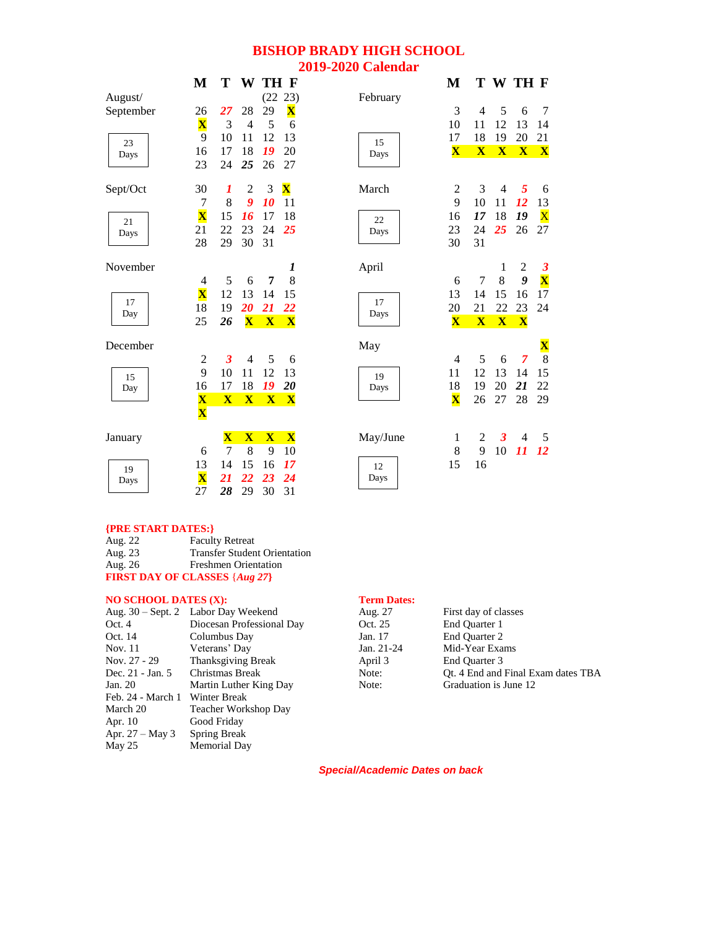# **BISHOP BRADY HIGH SCHOOL 2019-2020 Calendar**

|           | M                       | Т                       | W                       |              | TH F                    |          | M                       |              |                         | T W TH F       |                         |
|-----------|-------------------------|-------------------------|-------------------------|--------------|-------------------------|----------|-------------------------|--------------|-------------------------|----------------|-------------------------|
| August/   |                         |                         |                         |              | (22 23)                 | February |                         |              |                         |                |                         |
| September | 26                      | 27                      | 28                      | 29           | $\overline{\mathbf{X}}$ |          | 3                       | 4            | 5                       | 6              | $\overline{7}$          |
|           | $\overline{\mathbf{X}}$ | 3                       | $\overline{4}$          | 5            | 6                       |          | 10                      | 11           | 12                      | 13             | 14                      |
| 23        | 9                       | 10                      | 11                      | 12           | 13                      | 15       | 17                      | 18           | 19                      | 20             | 21                      |
| Days      | 16                      | 17                      | 18                      | 19           | 20                      | Days     | $\overline{\mathbf{X}}$ | $\mathbf{X}$ | $\overline{\mathbf{X}}$ | $\mathbf{X}$   | $\mathbf{X}$            |
|           | 23                      | 24                      | 25                      | 26           | 27                      |          |                         |              |                         |                |                         |
| Sept/Oct  | 30                      | 1                       | $\overline{2}$          | 3            | $\mathbf X$             | March    | $\overline{c}$          | 3            | $\overline{4}$          | 5              | 6                       |
|           | 7                       | 8                       | $\boldsymbol{g}$        | 10           | 11                      |          | 9                       | 10           | 11                      | 12             | 13                      |
| 21        | $\overline{\mathbf{X}}$ | 15                      | 16                      | 17           | 18                      | 22       | 16                      | 17           | 18                      | 19             | $\overline{\text{X}}$   |
| Days      | 21                      | 22                      | 23                      | 24           | 25                      | Days     | 23                      | 24           | 25                      | 26             | 27                      |
|           | 28                      | 29                      | 30                      | 31           |                         |          | 30                      | 31           |                         |                |                         |
| November  |                         |                         |                         |              | 1                       | April    |                         |              | 1                       | 2              | $\boldsymbol{\beta}$    |
|           | 4                       | 5                       | 6                       | 7            | 8                       |          | 6                       | 7            | 8                       | 9              | $\overline{\mathbf{X}}$ |
| 17        | $\overline{\textbf{X}}$ | 12                      | 13                      | 14           | 15                      | 17       | 13                      | 14           | 15                      | 16             | 17                      |
| Day       | 18                      | 19                      | 20                      | 21           | 22                      | Days     | 20                      | 21           | 22                      | 23             | 24                      |
|           | 25                      | 26                      | $\mathbf{X}$            | $\mathbf{X}$ | $\mathbf{X}$            |          | $\overline{\mathbf{X}}$ | $\mathbf{X}$ | $\mathbf{X}$            | $\mathbf{X}$   |                         |
| December  |                         |                         |                         |              |                         | May      |                         |              |                         |                | $\mathbf X$             |
|           | $\overline{c}$          | 3                       | $\overline{4}$          | 5            | 6                       |          | $\overline{4}$          | 5            | 6                       | $\overline{7}$ | $\overline{8}$          |
| 15        | 9                       | 10                      | 11                      | 12           | 13                      | 19       | 11                      | 12           | 13                      | 14             | 15                      |
| Day       | 16                      | 17                      | 18                      | 19           | 20                      | Days     | 18                      | 19           | 20                      | 21             | 22                      |
|           | $\overline{\mathbf{X}}$ | $\overline{\mathbf{X}}$ | $\mathbf{X}$            | $\mathbf{X}$ | $\mathbf{X}$            |          | $\overline{\mathbf{X}}$ | 26           | 27                      | 28             | 29                      |
|           | $\overline{\mathbf{X}}$ |                         |                         |              |                         |          |                         |              |                         |                |                         |
| January   |                         | $\overline{\mathbf{X}}$ | $\overline{\mathbf{X}}$ | $\mathbf{X}$ | $\overline{\mathbf{X}}$ | May/June | 1                       | 2            | 3                       | 4              | 5                       |
|           | 6                       | 7                       | 8                       | 9            | 10                      |          | $\,8$                   | 9            | 10                      | 11             | <b>12</b>               |
| 19        | 13                      | 14                      | 15                      | 16           | 17                      | 12       | 15                      | 16           |                         |                |                         |
| Days      | $\overline{\mathbf{X}}$ | 21                      | 22                      | 23           | 24                      | Days     |                         |              |                         |                |                         |
|           | 27                      | 28                      | 29                      | 30           | 31                      |          |                         |              |                         |                |                         |

### **{PRE START DATES:}**

| Aug. 22 | <b>Faculty Retreat</b>               |
|---------|--------------------------------------|
| Aug. 23 | <b>Transfer Student Orientation</b>  |
| Aug. 26 | <b>Freshmen Orientation</b>          |
|         | <b>FIRST DAY OF CLASSES {Aug 27}</b> |

| <b>NO SCHOOL DATES (X):</b> |                                       | <b>Term Dates:</b> |                       |
|-----------------------------|---------------------------------------|--------------------|-----------------------|
|                             | Aug. $30 - Sept. 2$ Labor Day Weekend | Aug. 27            | First day of classes  |
| Oct. $4$                    | Diocesan Professional Day             | Oct. 25            | End Quarter 1         |
| Oct. 14                     | Columbus Day                          | Jan. 17            | End Quarter 2         |
| Nov. 11                     | Veterans' Day                         | Jan. 21-24         | Mid-Year Exams        |
| Nov. 27 - 29                | <b>Thanksgiving Break</b>             | April 3            | End Quarter 3         |
| Dec. 21 - Jan. 5            | Christmas Break                       | Note:              | Ot. 4 End and Final E |
| Jan. 20                     | Martin Luther King Day                | Note:              | Graduation is June 12 |
| Feb. 24 - March 1           | Winter Break                          |                    |                       |
| March 20                    | Teacher Workshop Day                  |                    |                       |
| Apr. 10                     | Good Friday                           |                    |                       |
| Apr. $27 - May 3$           | Spring Break                          |                    |                       |
| May 25                      | Memorial Day                          |                    |                       |

|                  | Aug. 30 – Sept. 2 Labor Day Weekend | Aug. 27      | First day of classes               |
|------------------|-------------------------------------|--------------|------------------------------------|
| Oct. 4           | Diocesan Professional Day           | Oct. 25      | End Ouarter 1                      |
| Oct. 14          | Columbus Day                        | Jan. 17      | End Ouarter 2                      |
| Nov. 11          | Veterans' Day                       | Jan. $21-24$ | Mid-Year Exams                     |
| Nov. 27 - 29     | <b>Thanksgiving Break</b>           | April 3      | End Ouarter 3                      |
| Dec. 21 - Jan. 5 | Christmas Break                     | Note:        | Ot. 4 End and Final Exam dates TBA |
| Jan. 20          | Martin Luther King Day              | Note:        | Graduation is June 12              |
|                  |                                     |              |                                    |

*Special/Academic Dates on back*